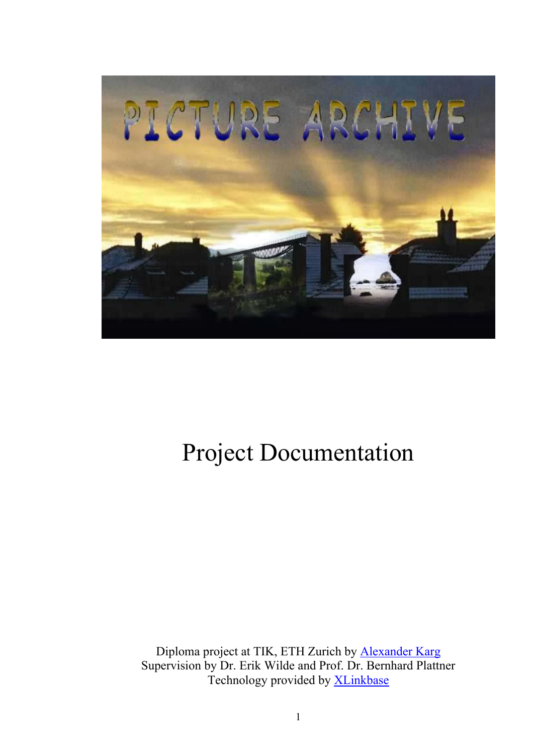<span id="page-0-0"></span>

# Project Documentation

Diploma project at TIK, ETH Zurich by [Alexander Karg](http://www.karg.ch/) Supervision by Dr. Erik Wilde and Prof. Dr. Bernhard Plattner Technology provided by [XLinkbase](http://xlinkbase.com/)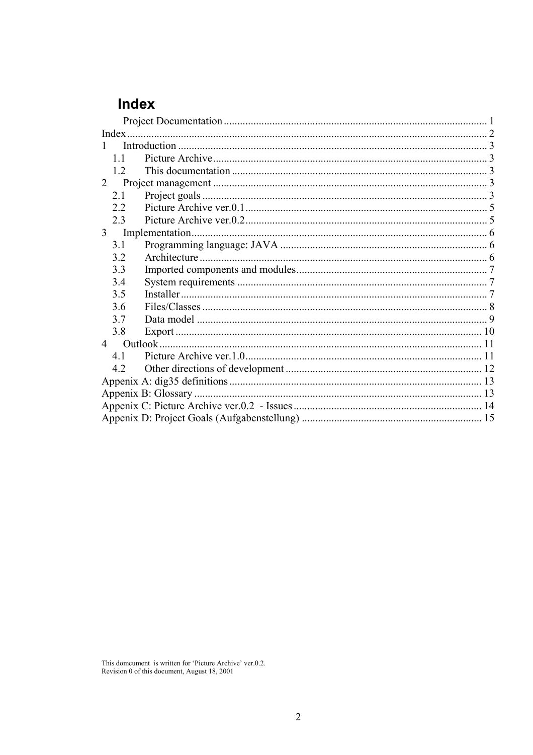# <span id="page-1-0"></span>Index

| 11             |  |  |  |  |  |
|----------------|--|--|--|--|--|
| 12             |  |  |  |  |  |
| $\overline{2}$ |  |  |  |  |  |
| 2.1            |  |  |  |  |  |
| 22             |  |  |  |  |  |
| 2.3            |  |  |  |  |  |
| 3 <sup>7</sup> |  |  |  |  |  |
| 3.1            |  |  |  |  |  |
| 3.2            |  |  |  |  |  |
| 3.3            |  |  |  |  |  |
| 3.4            |  |  |  |  |  |
| 3.5            |  |  |  |  |  |
| 3.6            |  |  |  |  |  |
| 37             |  |  |  |  |  |
| 3.8            |  |  |  |  |  |
|                |  |  |  |  |  |
| 4.1            |  |  |  |  |  |
| 4.2            |  |  |  |  |  |
|                |  |  |  |  |  |
|                |  |  |  |  |  |
|                |  |  |  |  |  |
|                |  |  |  |  |  |

This domcument is written for 'Picture Archive' ver.0.2.<br>Revision  $0$  of this document, August 18, 2001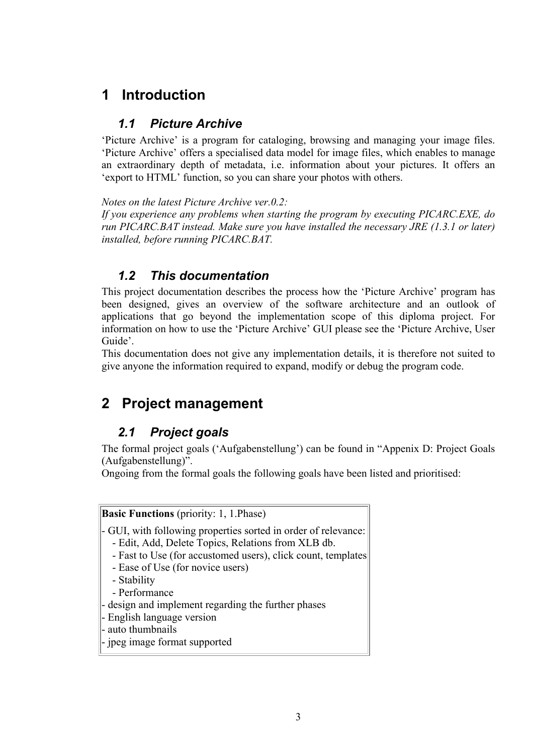# <span id="page-2-0"></span>**1 Introduction**

#### *1.1 Picture Archive*

'Picture Archive' is a program for cataloging, browsing and managing your image files. 'Picture Archive' offers a specialised data model for image files, which enables to manage an extraordinary depth of metadata, i.e. information about your pictures. It offers an 'export to HTML' function, so you can share your photos with others.

*Notes on the latest Picture Archive ver.0.2:* 

*If you experience any problems when starting the program by executing PICARC.EXE, do run PICARC.BAT instead. Make sure you have installed the necessary JRE (1.3.1 or later) installed, before running PICARC.BAT.* 

#### *1.2 This documentation*

This project documentation describes the process how the 'Picture Archive' program has been designed, gives an overview of the software architecture and an outlook of applications that go beyond the implementation scope of this diploma project. For information on how to use the 'Picture Archive' GUI please see the 'Picture Archive, User Guide'.

This documentation does not give any implementation details, it is therefore not suited to give anyone the information required to expand, modify or debug the program code.

## **2 Project management**

### *2.1 Project goals*

The formal project goals ('Aufgabenstellung') can be found in " [Appenix](#page-14-1) D: Project Goals [\(Aufgabenstellung\)](#page-14-1)".

Ongoing from the formal goals the following goals have been listed and prioritised:

**Basic Functions** (priority: 1, 1.Phase)

- GUI, with following properties sorted in order of relevance:

- Edit, Add, Delete Topics, Relations from XLB db.
- Fast to Use (for accustomed users), click count, templates
- Ease of Use (for novice users)
- Stability
- Performance
- design and implement regarding the further phases
- English language version
- auto thumbnails
- jpeg image format supported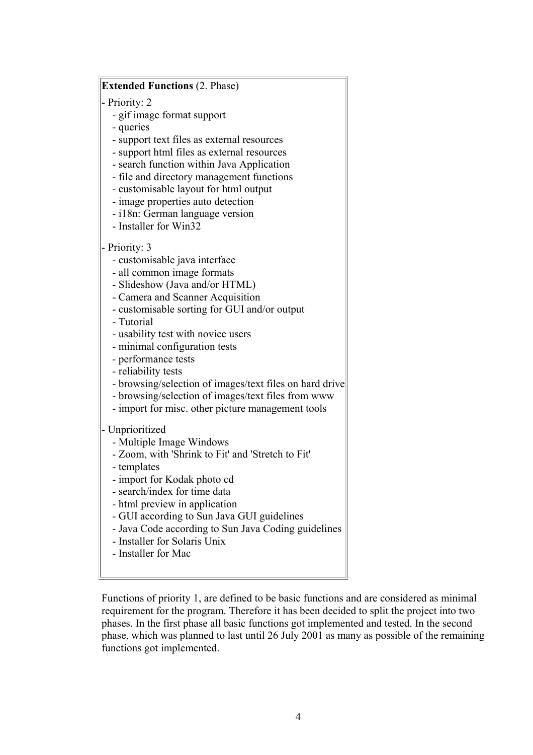#### **Extended Functions** (2. Phase)

- Priority: 2

- gif image format support
- queries
- support text files as external resources
- support html files as external resources
- search function within Java Application
- file and directory management functions
- customisable layout for html output
- image properties auto detection
- i18n: German language version
- Installer for Win32

#### Priority: 3

- customisable java interface
- all common image formats
- Slideshow (Java and/or HTML)
- Camera and Scanner Acquisition
- customisable sorting for GUI and/or output
- Tutorial
- usability test with novice users
- minimal configuration tests
- performance tests
- reliability tests
- browsing/selection of images/text files on hard drive
- browsing/selection of images/text files from www
- import for misc. other picture management tools

#### - Unprioritized

- Multiple Image Windows
- Zoom, with 'Shrink to Fit' and 'Stretch to Fit'
- templates
- import for Kodak photo cd
- search/index for time data
- html preview in application
- GUI according to Sun Java GUI guidelines
- Java Code according to Sun Java Coding guidelines
- Installer for Solaris Unix
- Installer for Mac

Functions of priority 1, are defined to be basic functions and are considered as minimal requirement for the program. Therefore it has been decided to split the project into two phases. In the first phase all basic functions got implemented and tested. In the second phase, which was planned to last until 26 July 2001 as many as possible of the remaining functions got implemented.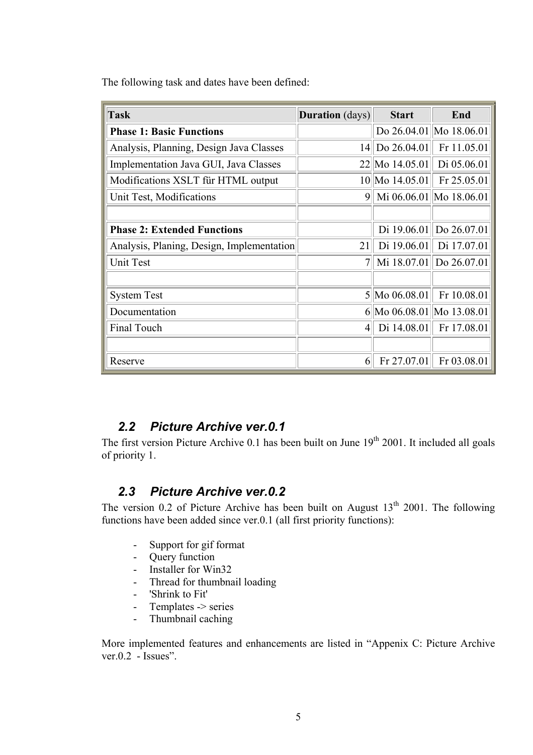<span id="page-4-0"></span>The following task and dates have been defined:

| <b>Task</b>                               | <b>Duration</b> (days) | <b>Start</b>    | End                       |  |
|-------------------------------------------|------------------------|-----------------|---------------------------|--|
| <b>Phase 1: Basic Functions</b>           |                        |                 | Do 26.04.01 Mo 18.06.01   |  |
| Analysis, Planning, Design Java Classes   |                        | 14 Do 26.04.01  | Fr $11.05.01$             |  |
| Implementation Java GUI, Java Classes     |                        | 22 Mo 14.05.01  | Di $05.06.01$             |  |
| Modifications XSLT für HTML output        |                        | 10 Mo 14.05.01  | Fr 25.05.01               |  |
| Unit Test, Modifications                  |                        |                 | 9 Mi 06.06.01 Mo 18.06.01 |  |
|                                           |                        |                 |                           |  |
| <b>Phase 2: Extended Functions</b>        |                        |                 | Di 19.06.01 Do 26.07.01   |  |
| Analysis, Planing, Design, Implementation | 21                     | Di $19.06.01$   | Di 17.07.01               |  |
| <b>Unit Test</b>                          |                        |                 | Mi 18.07.01 Do 26.07.01   |  |
|                                           |                        |                 |                           |  |
| <b>System Test</b>                        |                        | $5$ Mo 06.08.01 | Fr $10.08.01$             |  |
| Documentation                             |                        |                 | 6 Mo 06.08.01 Mo 13.08.01 |  |
| <b>Final Touch</b>                        | $4\parallel$           | Di $14.08.01$   | Fr $17.08.01$             |  |
|                                           |                        |                 |                           |  |
| Reserve                                   | 6                      | Fr 27.07.01     | Fr $03.08.01$             |  |

### *2.2 Picture Archive ver.0.1*

The first version Picture Archive 0.1 has been built on June 19<sup>th</sup> 2001. It included all goals of priority 1.

### *2.3 Picture Archive ver.0.2*

The version 0.2 of Picture Archive has been built on August  $13<sup>th</sup>$  2001. The following functions have been added since ver.0.1 (all first priority functions):

- Support for gif format
- Query function
- Installer for Win32
- Thread for thumbnail loading
- 'Shrink to Fit'
- Templates -> series
- Thumbnail caching

More implemented features and enhancements are listed in " [Appenix](#page-13-1) C: Picture Archive ver. $0.2$  - Issues".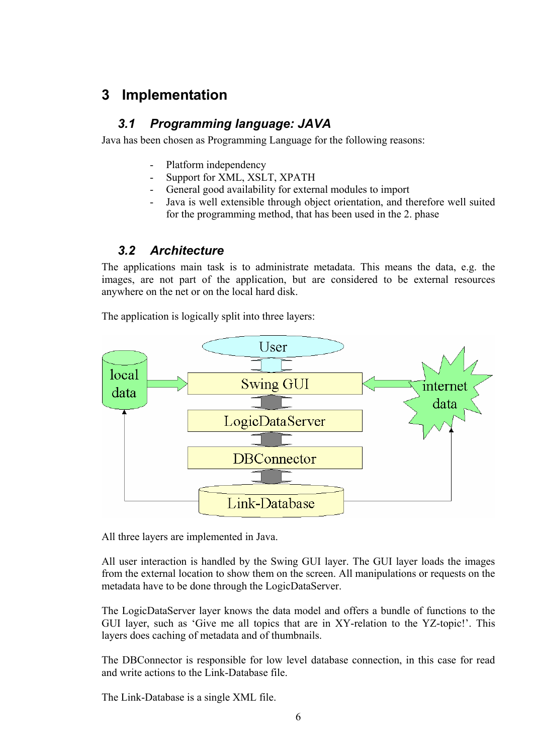## <span id="page-5-0"></span>**3 Implementation**

### *3.1 Programming language: JAVA*

Java has been chosen as Programming Language for the following reasons:

- Platform independency
- Support for XML, XSLT, XPATH
- General good availability for external modules to import
- Java is well extensible through object orientation, and therefore well suited for the programming method, that has been used in the 2. phase

### *3.2 Architecture*

The applications main task is to administrate metadata. This means the data, e.g. the images, are not part of the application, but are considered to be external resources anywhere on the net or on the local hard disk.

The application is logically split into three layers:



All three layers are implemented in Java.

All user interaction is handled by the Swing GUI layer. The GUI layer loads the images from the external location to show them on the screen. All manipulations or requests on the metadata have to be done through the LogicDataServer.

The LogicDataServer layer knows the data model and offers a bundle of functions to the GUI layer, such as 'Give me all topics that are in XY-relation to the YZ-topic!'. This layers does caching of metadata and of thumbnails.

The DBConnector is responsible for low level database connection, in this case for read and write actions to the Link-Database file.

The Link-Database is a single XML file.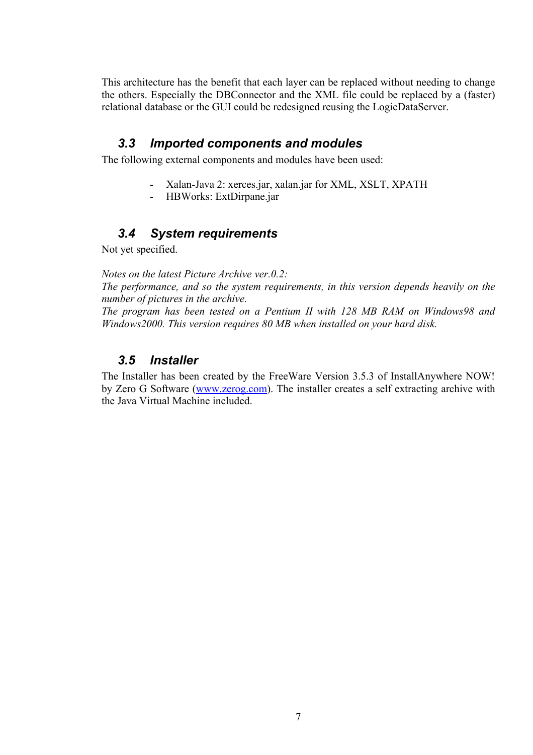<span id="page-6-0"></span>This architecture has the benefit that each layer can be replaced without needing to change the others. Especially the DBConnector and the XML file could be replaced by a (faster) relational database or the GUI could be redesigned reusing the LogicDataServer.

#### *3.3 Imported components and modules*

The following external components and modules have been used:

- Xalan-Java 2: xerces.jar, xalan.jar for XML, XSLT, XPATH
- HBWorks: ExtDirpane.jar

#### *3.4 System requirements*

Not yet specified.

*Notes on the latest Picture Archive ver.0.2:* 

*The performance, and so the system requirements, in this version depends heavily on the number of pictures in the archive.* 

*The program has been tested on a Pentium II with 128 MB RAM on Windows98 and Windows2000. This version requires 80 MB when installed on your hard disk.* 

#### *3.5 Installer*

The Installer has been created by the FreeWare Version 3.5.3 of InstallAnywhere NOW! by Zero G Software ([www.zerog.com](http://www.zerog.com/)). The installer creates a self extracting archive with the Java Virtual Machine included.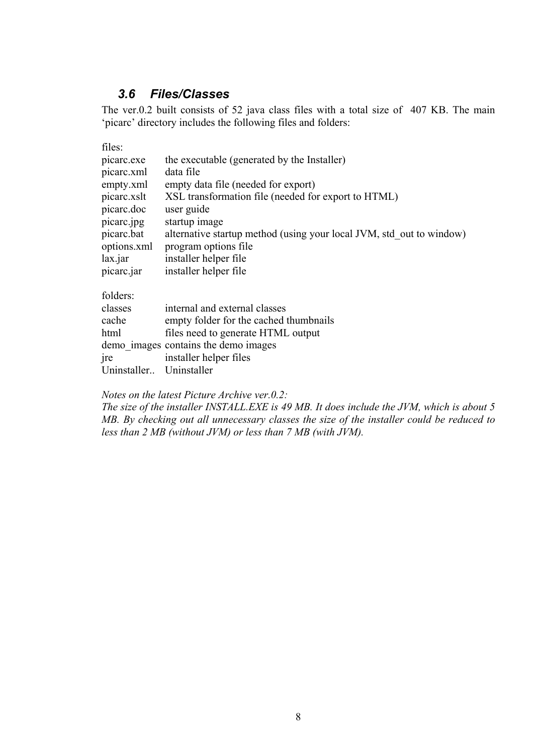#### *3.6 Files/Classes*

<span id="page-7-0"></span>The ver.0.2 built consists of 52 java class files with a total size of 407 KB. The main 'picarc' directory includes the following files and folders:

| files:          |                                                                      |  |  |  |
|-----------------|----------------------------------------------------------------------|--|--|--|
| picarc.exe      | the executable (generated by the Installer)                          |  |  |  |
| picarc.xml      | data file                                                            |  |  |  |
| empty.xml       | empty data file (needed for export)                                  |  |  |  |
| picarc.xslt     | XSL transformation file (needed for export to HTML)                  |  |  |  |
| picarc.doc      | user guide                                                           |  |  |  |
| picarc.jpg      | startup image                                                        |  |  |  |
| picarc.bat      | alternative startup method (using your local JVM, std out to window) |  |  |  |
| options.xml     | program options file                                                 |  |  |  |
| lax.jar         | installer helper file                                                |  |  |  |
| picarc.jar      | installer helper file                                                |  |  |  |
| folders:        |                                                                      |  |  |  |
| classes         | internal and external classes                                        |  |  |  |
| cache           | empty folder for the cached thumbnails                               |  |  |  |
| html            | files need to generate HTML output                                   |  |  |  |
|                 | demo images contains the demo images                                 |  |  |  |
| <sub>1</sub> re | installer helper files                                               |  |  |  |
| Uninstaller     | Uninstaller                                                          |  |  |  |

#### *Notes on the latest Picture Archive ver.0.2:*

*The size of the installer INSTALL.EXE is 49 MB. It does include the JVM, which is about 5 MB. By checking out all unnecessary classes the size of the installer could be reduced to less than 2 MB (without JVM) or less than 7 MB (with JVM).*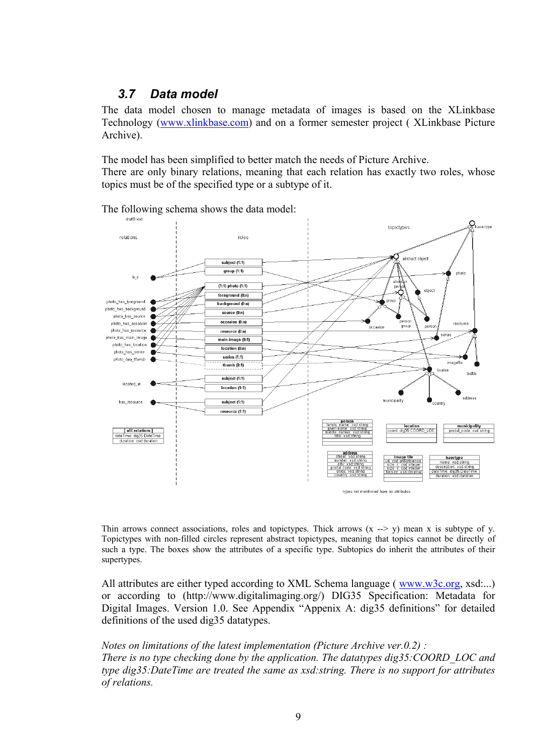#### <span id="page-8-0"></span>*3.7 Data model*

The data model chosen to manage metadata of images is based on the XLinkbase Technology ([www.xlinkbase.com\)](http://www.xlinkbase.com/) and on a former semester project ( XLinkbase Picture Archive).

The model has been simplified to better match the needs of Picture Archive.

There are only binary relations, meaning that each relation has exactly two roles, whose topics must be of the specified type or a subtype of it.

The following schema shows the data model:



Thin arrows connect associations, roles and topictypes. Thick arrows  $(x \rightarrow y)$  mean x is subtype of y. Topictypes with non-filled circles represent abstract topictypes, meaning that topics cannot be directly of such a type. The boxes show the attributes of a specific type. Subtopics do inherit the attributes of their supertypes.

All attributes are either typed according to XML Schema language ([www.w3c.org](http://www.w3c.org/), xsd:...) or according to (http://www.digitalimaging.org/) DIG35 Specification: Metadata for Digital Images. Version 1.0. See Appendix "Appenix A: dig35 [definitions](#page-12-1)" for detailed definitions of the used dig35 datatypes.

*Notes on limitations of the latest implementation (Picture Archive ver.0.2) : There is no type checking done by the application. The datatypes dig35:COORD\_LOC and type dig35:DateTime are treated the same as xsd:string. There is no support for attributes of relations.*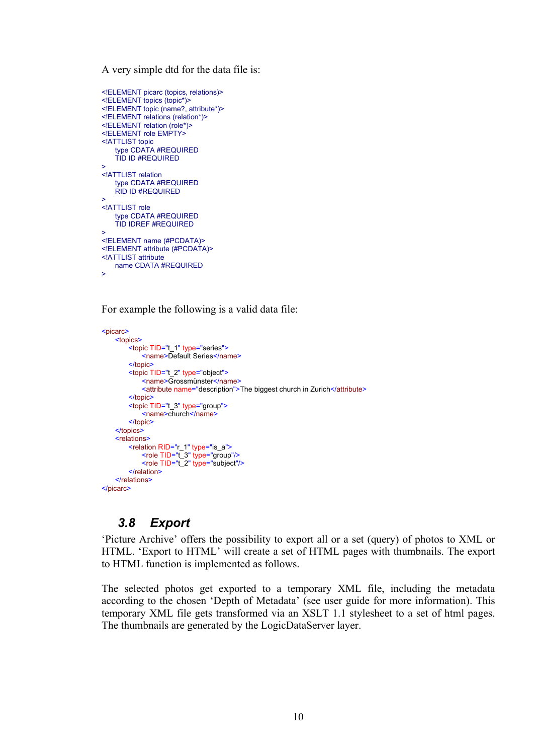<span id="page-9-0"></span>A very simple dtd for the data file is:

```
<!ELEMENT picarc (topics, relations)>
<!ELEMENT topics (topic*)>
<!ELEMENT topic (name?, attribute*)>
<!ELEMENT relations (relation*)>
<!ELEMENT relation (role*)>
<!ELEMENT role EMPTY>
<!ATTLIST topic
   type CDATA #REQUIRED 
   TID ID #REQUIRED 
>
<!ATTLIST relation 
   type CDATA #REQUIRED 
   RID ID #REQUIRED 
>
<!ATTLIST role
   type CDATA #REQUIRED 
   TID IDREF #REQUIRED 
>
<!ELEMENT name (#PCDATA)>
<!ELEMENT attribute (#PCDATA)>
<!ATTLIST attribute 
    name CDATA #REQUIRED 
\sim
```
For example the following is a valid data file:

```
<picarc>
    <topics>
         <topic TID="t_1" type="series">
            <name>Default Series</name>
        </topic>
         <topic TID="t_2" type="object">
             <name>Grossmünster</name>
             <attribute name="description">The biggest church in Zurich</attribute>
        </topic>
         <topic TID="t_3" type="group">
            <name>church</name>
        </topic>
    </topics>
    <relations>
        <relation RID="r_1" type="is_a">
             <role TID="t_3" type="group"/>
             <role TID="t_2" type="subject"/>
         </relation>
    </relations>
</picarc>
```
#### *3.8 Export*

'Picture Archive' offers the possibility to export all or a set (query) of photos to XML or HTML. 'Export to HTML' will create a set of HTML pages with thumbnails. The export to HTML function is implemented as follows.

The selected photos get exported to a temporary XML file, including the metadata according to the chosen 'Depth of Metadata' (see user guide for more information). This temporary XML file gets transformed via an XSLT 1.1 stylesheet to a set of html pages. The thumbnails are generated by the LogicDataServer layer.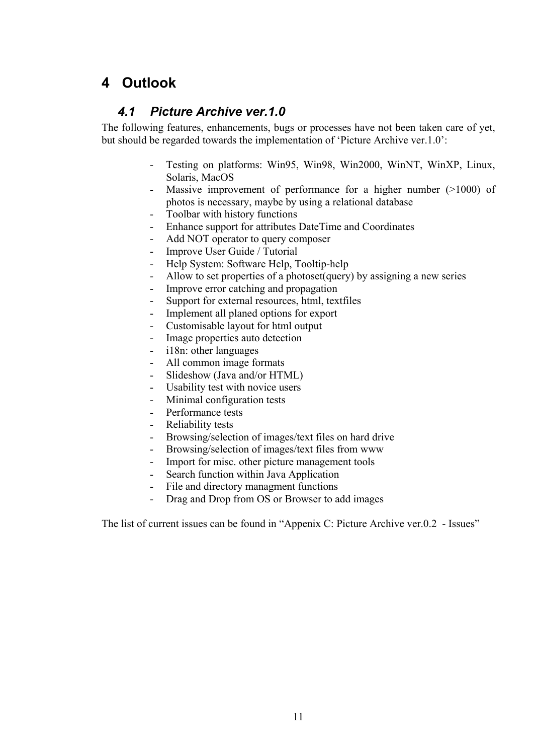# <span id="page-10-0"></span>**4 Outlook**

### *4.1 Picture Archive ver.1.0*

The following features, enhancements, bugs or processes have not been taken care of yet, but should be regarded towards the implementation of 'Picture Archive ver.1.0':

- Testing on platforms: Win95, Win98, Win2000, WinNT, WinXP, Linux, Solaris, MacOS
- Massive improvement of performance for a higher number  $(>1000)$  of photos is necessary, maybe by using a relational database
- Toolbar with history functions<br>- Enhance sumport for attributes
- Enhance support for attributes DateTime and Coordinates
- Add NOT operator to query composer
- Improve User Guide / Tutorial
- Help System: Software Help, Tooltip-help
- Allow to set properties of a photoset (query) by assigning a new series
- Improve error catching and propagation
- Support for external resources, html, textfiles
- Implement all planed options for export
- Customisable layout for html output
- Image properties auto detection
- i18n: other languages
- All common image formats
- Slideshow (Java and/or HTML)
- Usability test with novice users
- Minimal configuration tests
- Performance tests
- Reliability tests
- Browsing/selection of images/text files on hard drive
- Browsing/selection of images/text files from www
- Import for misc. other picture management tools
- Search function within Java Application
- File and directory managment functions
- Drag and Drop from OS or Browser to add images

The list of current issues can be found in ["Appenix C: Picture Archive ver.0.2 - Issues"](#page-13-1)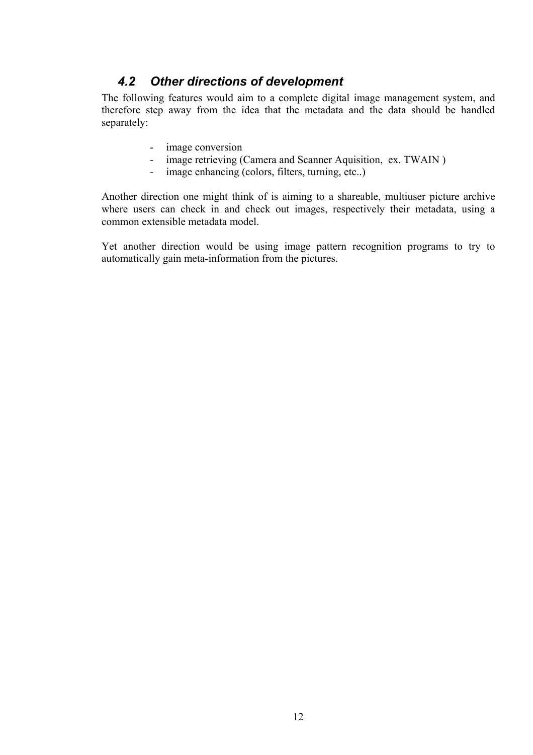### *4.2 Other directions of development*

<span id="page-11-0"></span>The following features would aim to a complete digital image management system, and therefore step away from the idea that the metadata and the data should be handled separately:

- image conversion
- image retrieving (Camera and Scanner Aquisition, ex. TWAIN)
- image enhancing (colors, filters, turning, etc..)

Another direction one might think of is aiming to a shareable, multiuser picture archive where users can check in and check out images, respectively their metadata, using a common extensible metadata model.

Yet another direction would be using image pattern recognition programs to try to automatically gain meta-information from the pictures.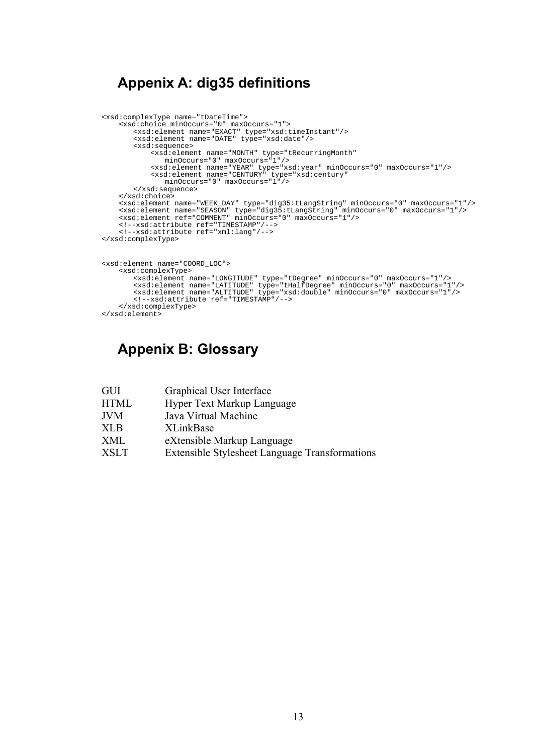### <span id="page-12-1"></span><span id="page-12-0"></span>**Appenix A: dig35 definitions**

```
<xsd:complexType name="tDateTime">
     <xsd:choice minOccurs="0" maxOccurs="1">
         <xsd:element name="EXACT" type="xsd:timeInstant"/>
<xsd:element name="DATE" type="xsd:date"/>
         <xsd:sequence>
              <xsd:element name="MONTH" type="tRecurringMonth"
                 minOccurs="0" maxOccurs="1"/>
              <xsd:element name="YEAR" type="xsd:year" minOccurs="0" maxOccurs="1"/>
              <xsd:element name="CENTURY" type="xsd:century"
minOccurs="0" maxOccurs="1"/>
         </xsd:sequence>
    </xsd:choice>
     <xsd:element name="WEEK_DAY" type="dig35:tLangString" minOccurs="0" maxOccurs="1"/>
     <xsd:element name="SEASON" type="dig35:tLangString" minOccurs="0" maxOccurs="1"/>
     <xsd:element ref="COMMENT" minOccurs="0" maxOccurs="1"/>
    <!--xsd:attribute ref="TIMESTAMP"/-->
     <!--xsd:attribute ref="xml:lang"/-->
</xsd:complexType>
<xsd:element name="COORD_LOC">
    <xsd:complexType>
         <xsd:element name="LONGITUDE" type="tDegree" minOccurs="0" maxOccurs="1"/><br><xsd:element name="LATITUDE" type="tHalfDegree" minOccurs="0" maxOccurs="1"/><br><xsd:element name="ALTITUDE" type="xsd:double" minOccurs="0" maxOccur
        <!--xsd:attribute ref="TIMESTAMP"/-->
     </xsd:complexType>
</xsd:element>
```
### **Appenix B: Glossary**

- GUI Graphical User Interface
- HTML Hyper Text Markup Language
- JVM Java Virtual Machine
- XLB XLinkBase
- XML eXtensible Markup Language
- XSLT Extensible Stylesheet Language Transformations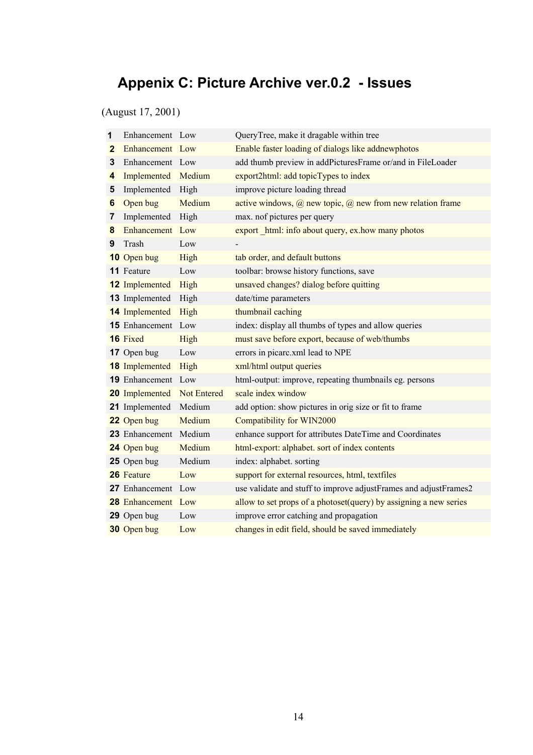# <span id="page-13-1"></span><span id="page-13-0"></span>**Appenix C: Picture Archive ver.0.2 - Issues**

(August 17, 2001)

| 1 | Enhancement Low           |                    | QueryTree, make it dragable within tree                                  |
|---|---------------------------|--------------------|--------------------------------------------------------------------------|
| 2 | Enhancement Low           |                    | Enable faster loading of dialogs like addnewphotos                       |
| 3 | Enhancement Low           |                    | add thumb preview in addPicturesFrame or/and in FileLoader               |
| 4 | Implemented               | Medium             | export2html: add topicTypes to index                                     |
| 5 | Implemented               | High               | improve picture loading thread                                           |
| 6 | Open bug                  | Medium             | active windows, $\omega$ new topic, $\omega$ new from new relation frame |
| 7 | Implemented               | High               | max. nof pictures per query                                              |
| 8 | Enhancement Low           |                    | export html: info about query, ex.how many photos                        |
| 9 | Trash                     | Low                |                                                                          |
|   | 10 Open bug               | High               | tab order, and default buttons                                           |
|   | 11 Feature                | Low                | toolbar: browse history functions, save                                  |
|   | <b>12</b> Implemented     | High               | unsaved changes? dialog before quitting                                  |
|   | 13 Implemented            | High               | date/time parameters                                                     |
|   | <b>14</b> Implemented     | High               | thumbnail caching                                                        |
|   | 15 Enhancement            | Low                | index: display all thumbs of types and allow queries                     |
|   | 16 Fixed                  | High               | must save before export, because of web/thumbs                           |
|   | 17 Open bug               | Low                | errors in picarc.xml lead to NPE                                         |
|   | <b>18</b> Implemented     | High               | xml/html output queries                                                  |
|   | 19 Enhancement            | Low                | html-output: improve, repeating thumbnails eg. persons                   |
|   | 20 Implemented            | <b>Not Entered</b> | scale index window                                                       |
|   | 21 Implemented            | Medium             | add option: show pictures in orig size or fit to frame                   |
|   | 22 Open bug               | Medium             | Compatibility for WIN2000                                                |
|   | 23 Enhancement Medium     |                    | enhance support for attributes DateTime and Coordinates                  |
|   | 24 Open bug               | Medium             | html-export: alphabet. sort of index contents                            |
|   | 25 Open bug               | Medium             | index: alphabet. sorting                                                 |
|   | 26 Feature                | Low                | support for external resources, html, textfiles                          |
|   | 27 Enhancement Low        |                    | use validate and stuff to improve adjustFrames and adjustFrames2         |
|   | <b>28</b> Enhancement Low |                    | allow to set props of a photoset(query) by assigning a new series        |
|   | 29 Open bug               | Low                | improve error catching and propagation                                   |
|   | 30 Open bug               | Low                | changes in edit field, should be saved immediately                       |